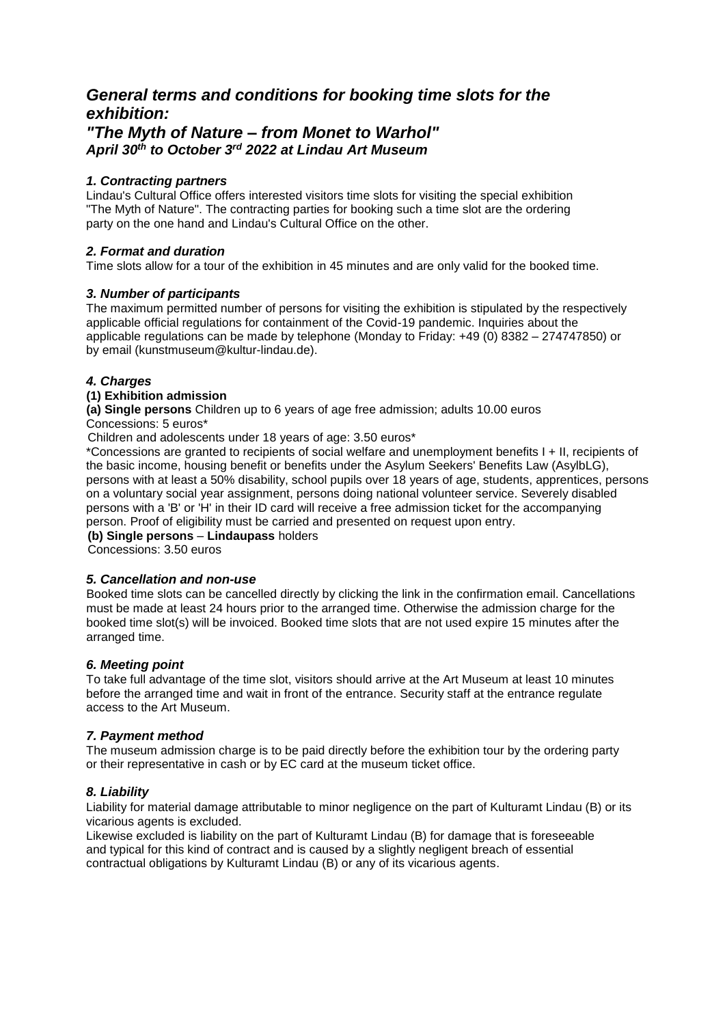# *General terms and conditions for booking time slots for the exhibition:*

## *"The Myth of Nature – from Monet to Warhol" April 30th to October 3rd 2022 at Lindau Art Museum*

## *1. Contracting partners*

Lindau's Cultural Office offers interested visitors time slots for visiting the special exhibition "The Myth of Nature". The contracting parties for booking such a time slot are the ordering party on the one hand and Lindau's Cultural Office on the other.

## *2. Format and duration*

Time slots allow for a tour of the exhibition in 45 minutes and are only valid for the booked time.

## *3. Number of participants*

The maximum permitted number of persons for visiting the exhibition is stipulated by the respectively applicable official regulations for containment of the Covid-19 pandemic. Inquiries about the applicable regulations can be made by telephone (Monday to Friday: +49 (0) 8382 – 274747850) or by email (kunstmuseum@kultur-lindau.de).

## *4. Charges*

## **(1) Exhibition admission**

**(a) Single persons** Children up to 6 years of age free admission; adults 10.00 euros Concessions: 5 euros\*

Children and adolescents under 18 years of age: 3.50 euros\*

\*Concessions are granted to recipients of social welfare and unemployment benefits I + II, recipients of the basic income, housing benefit or benefits under the Asylum Seekers' Benefits Law (AsylbLG), persons with at least a 50% disability, school pupils over 18 years of age, students, apprentices, persons on a voluntary social year assignment, persons doing national volunteer service. Severely disabled persons with a 'B' or 'H' in their ID card will receive a free admission ticket for the accompanying person. Proof of eligibility must be carried and presented on request upon entry. **(b) Single persons** – **Lindaupass** holders

Concessions: 3.50 euros

#### *5. Cancellation and non-use*

Booked time slots can be cancelled directly by clicking the link in the confirmation email. Cancellations must be made at least 24 hours prior to the arranged time. Otherwise the admission charge for the booked time slot(s) will be invoiced. Booked time slots that are not used expire 15 minutes after the arranged time.

#### *6. Meeting point*

To take full advantage of the time slot, visitors should arrive at the Art Museum at least 10 minutes before the arranged time and wait in front of the entrance. Security staff at the entrance regulate access to the Art Museum.

## *7. Payment method*

The museum admission charge is to be paid directly before the exhibition tour by the ordering party or their representative in cash or by EC card at the museum ticket office.

## *8. Liability*

Liability for material damage attributable to minor negligence on the part of Kulturamt Lindau (B) or its vicarious agents is excluded.

Likewise excluded is liability on the part of Kulturamt Lindau (B) for damage that is foreseeable and typical for this kind of contract and is caused by a slightly negligent breach of essential contractual obligations by Kulturamt Lindau (B) or any of its vicarious agents.